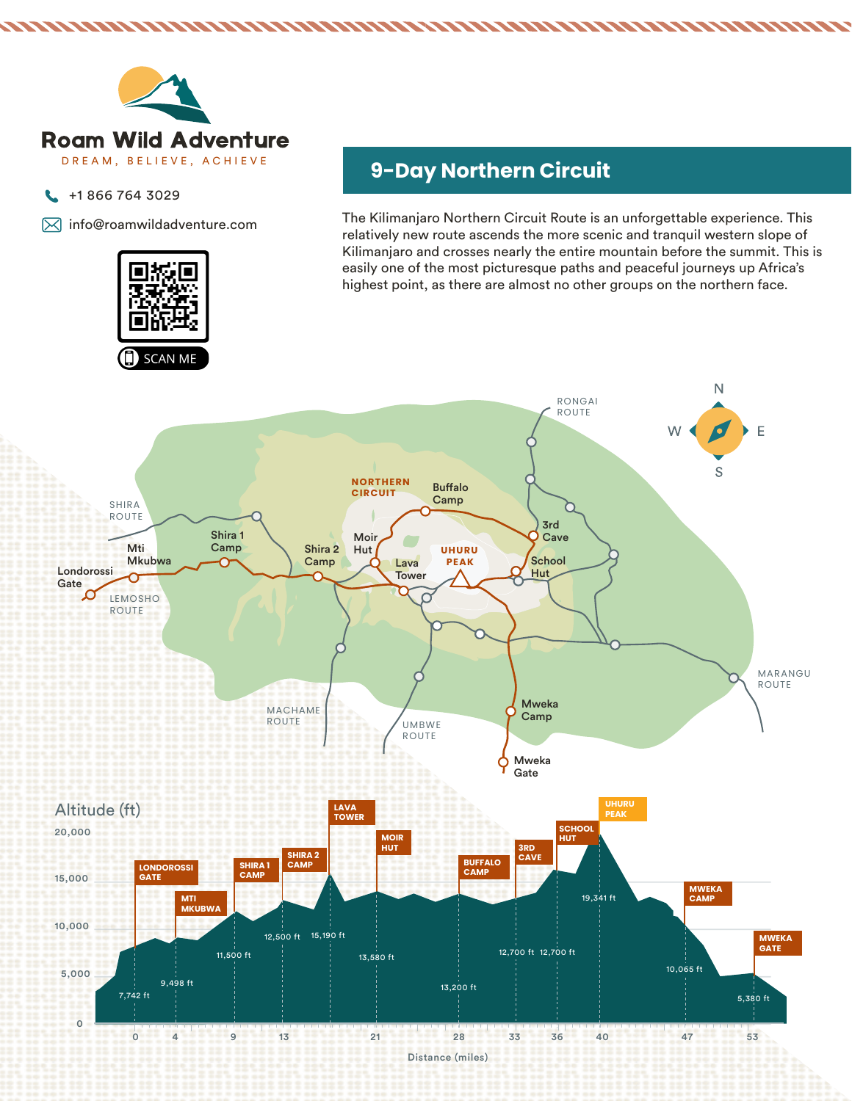

- +1 866 764 3029  $\mathbf{C}$
- $\boxtimes$  info@roamwildadventure.com



# DREAM, BELIEVE, ACHIEVE **9-Day Northern Circuit**

The Kilimanjaro Northern Circuit Route is an unforgettable experience. This relatively new route ascends the more scenic and tranquil western slope of Kilimanjaro and crosses nearly the entire mountain before the summit. This is easily one of the most picturesque paths and peaceful journeys up Africa's highest point, as there are almost no other groups on the northern face.

,,,,,,,,,,,,,,,,,

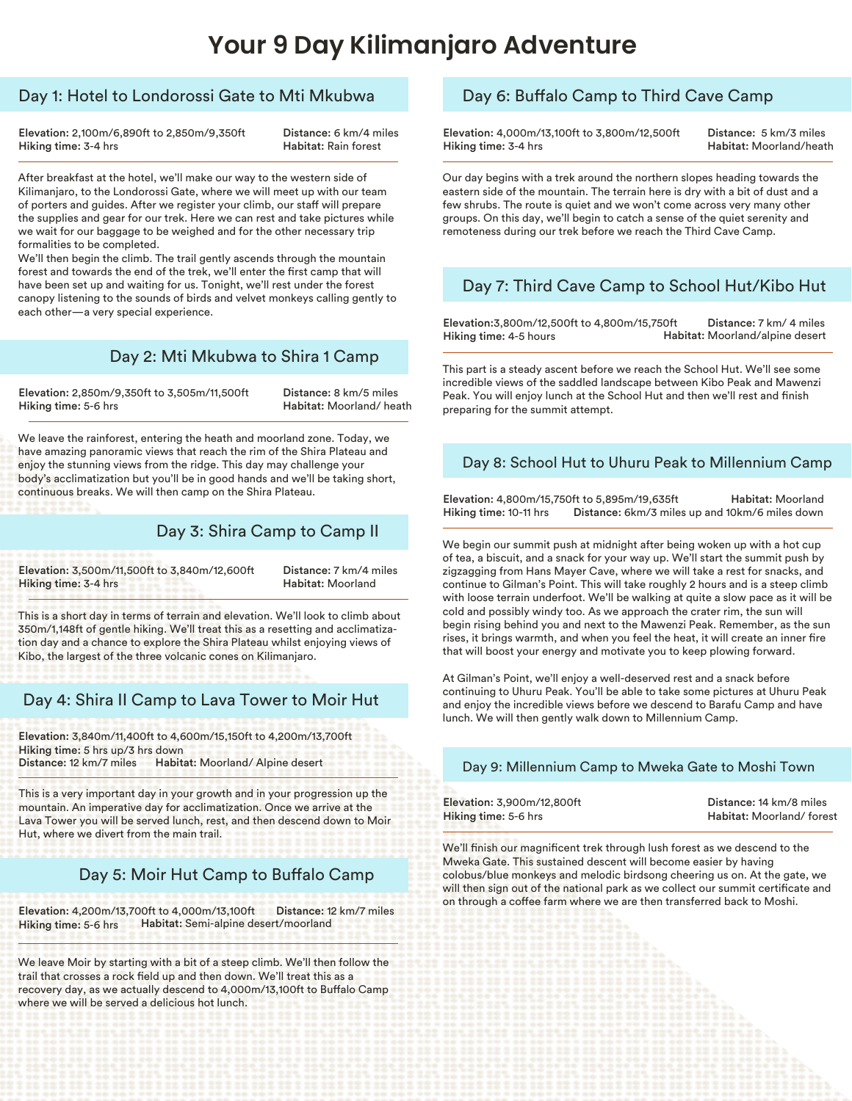### **Your 9 Day Kilimanjaro Adventure**

#### Day 1: Hotel to Londorossi Gate to Mti Mkubwa

Elevation: 2,100m/6,890ft to 2,850m/9,350ft Hiking time: 3-4 hrs

Distance: 6 km/4 miles Habitat: Rain forest

After breakfast at the hotel, we'll make our way to the western side of Kilimanjaro, to the Londorossi Gate, where we will meet up with our team of porters and guides. After we register your climb, our staff will prepare the supplies and gear for our trek. Here we can rest and take pictures while we wait for our baggage to be weighed and for the other necessary trip formalities to be completed.

We'll then begin the climb. The trail gently ascends through the mountain forest and towards the end of the trek, we'll enter the first camp that will have been set up and waiting for us. Tonight, we'll rest under the forest canopy listening to the sounds of birds and velvet monkeys calling gently to each other—a very special experience.

#### Day 2: Mti Mkubwa to Shira 1 Camp

Elevation: 2,850m/9,350ft to 3,505m/11,500ft Hiking time: 5-6 hrs

Distance: 8 km/5 miles Habitat: Moorland/ heath

We leave the rainforest, entering the heath and moorland zone. Today, we have amazing panoramic views that reach the rim of the Shira Plateau and enjoy the stunning views from the ridge. This day may challenge your body's acclimatization but you'll be in good hands and we'll be taking short, continuous breaks. We will then camp on the Shira Plateau.

#### Day 3: Shira Camp to Camp II

Elevation: 3,500m/11,500ft to 3,840m/12,600ft Hiking time: 3-4 hrs

Distance: 7 km/4 miles Habitat: Moorland

This is a short day in terms of terrain and elevation. We'll look to climb about 350m/1,148ft of gentle hiking. We'll treat this as a resetting and acclimatization day and a chance to explore the Shira Plateau whilst enjoying views of Kibo, the largest of the three volcanic cones on Kilimanjaro.

### Day 4: Shira II Camp to Lava Tower to Moir Hut

Elevation: 3,840m/11,400ft to 4,600m/15,150ft to 4,200m/13,700ft Hiking time: 5 hrs up/3 hrs down Distance: 12 km/7 miles Habitat: Moorland/ Alpine desert

This is a very important day in your growth and in your progression up the mountain. An imperative day for acclimatization. Once we arrive at the Lava Tower you will be served lunch, rest, and then descend down to Moir Hut, where we divert from the main trail.

#### Day 5: Moir Hut Camp to Buffalo Camp

Elevation: 4,200m/13,700ft to 4,000m/13,100ft Hiking time: 5-6 hrs Distance: 12 km/7 miles Habitat: Semi-alpine desert/moorland

We leave Moir by starting with a bit of a steep climb. We'll then follow the trail that crosses a rock field up and then down. We'll treat this as a recovery day, as we actually descend to 4,000m/13,100ft to Buffalo Camp where we will be served a delicious hot lunch.

#### Day 6: Buffalo Camp to Third Cave Camp

Elevation: 4,000m/13,100ft to 3,800m/12,500ft Hiking time: 3-4 hrs

Distance: 5 km/3 miles Habitat: Moorland/heath

Our day begins with a trek around the northern slopes heading towards the eastern side of the mountain. The terrain here is dry with a bit of dust and a few shrubs. The route is quiet and we won't come across very many other groups. On this day, we'll begin to catch a sense of the quiet serenity and remoteness during our trek before we reach the Third Cave Camp.

### Day 7: Third Cave Camp to School Hut/Kibo Hut

Elevation:3,800m/12,500ft to 4,800m/15,750ft Hiking time: 4-5 hours Distance: 7 km/ 4 miles Habitat: Moorland/alpine desert

This part is a steady ascent before we reach the School Hut. We'll see some incredible views of the saddled landscape between Kibo Peak and Mawenzi Peak. You will enjoy lunch at the School Hut and then we'll rest and finish preparing for the summit attempt.

#### Day 8: School Hut to Uhuru Peak to Millennium Camp

Elevation: 4,800m/15,750ft to 5,895m/19,635ft Hiking time: 10-11 hrs Distance: 6km/3 miles up and 10km/6 miles down Habitat: Moorland

We begin our summit push at midnight after being woken up with a hot cup of tea, a biscuit, and a snack for your way up. We'll start the summit push by zigzagging from Hans Mayer Cave, where we will take a rest for snacks, and continue to Gilman's Point. This will take roughly 2 hours and is a steep climb with loose terrain underfoot. We'll be walking at quite a slow pace as it will be cold and possibly windy too. As we approach the crater rim, the sun will begin rising behind you and next to the Mawenzi Peak. Remember, as the sun rises, it brings warmth, and when you feel the heat, it will create an inner fire that will boost your energy and motivate you to keep plowing forward.

At Gilman's Point, we'll enjoy a well-deserved rest and a snack before continuing to Uhuru Peak. You'll be able to take some pictures at Uhuru Peak and enjoy the incredible views before we descend to Barafu Camp and have lunch. We will then gently walk down to Millennium Camp.

#### Day 9: Millennium Camp to Mweka Gate to Moshi Town

| Elevation: 3,900m/12,800ft | Distance: 14 km/8 miles  |
|----------------------------|--------------------------|
| Hiking time: 5-6 hrs       | Habitat: Moorland/forest |

We'll finish our magnificent trek through lush forest as we descend to the Mweka Gate. This sustained descent will become easier by having colobus/blue monkeys and melodic birdsong cheering us on. At the gate, we will then sign out of the national park as we collect our summit certificate and on through a coffee farm where we are then transferred back to Moshi.